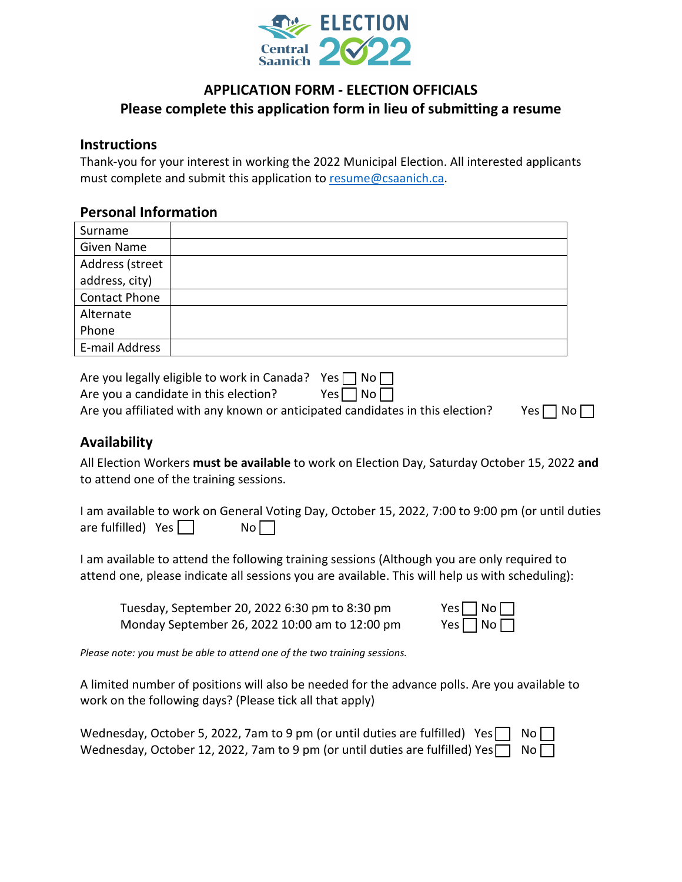

# **APPLICATION FORM - ELECTION OFFICIALS Please complete this application form in lieu of submitting a resume**

### **Instructions**

Thank-you for your interest in working the 2022 Municipal Election. All interested applicants must complete and submit this application to [resume@csaanich.ca.](mailto:resume@csaanich.ca)

### **Personal Information**

| Surname              |  |
|----------------------|--|
| Given Name           |  |
| Address (street      |  |
| address, city)       |  |
| <b>Contact Phone</b> |  |
| Alternate            |  |
| Phone                |  |
| E-mail Address       |  |

| Are you legally eligible to work in Canada? Yes $\Box$ No $\Box$              |                      |  |
|-------------------------------------------------------------------------------|----------------------|--|
| Are you a candidate in this election?                                         | Yes $\Box$ No $\Box$ |  |
| Are you affiliated with any known or anticipated candidates in this election? | Yes $\Box$ No $\Box$ |  |

## **Availability**

All Election Workers **must be available** to work on Election Day, Saturday October 15, 2022 **and** to attend one of the training sessions.

|                           |    |  | I am available to work on General Voting Day, October 15, 2022, 7:00 to 9:00 pm (or until duties |  |
|---------------------------|----|--|--------------------------------------------------------------------------------------------------|--|
| are fulfilled) Yes $\Box$ | No |  |                                                                                                  |  |

I am available to attend the following training sessions (Although you are only required to attend one, please indicate all sessions you are available. This will help us with scheduling):

Tuesday, September 20, 2022 6:30 pm to 8:30 pm Monday September 26, 2022 10:00 am to 12:00 pm

| Yesl | $ N_0 $ |
|------|---------|

*Please note: you must be able to attend one of the two training sessions.*

A limited number of positions will also be needed for the advance polls. Are you available to work on the following days? (Please tick all that apply)

| Wednesday, October 5, 2022, 7am to 9 pm (or until duties are fulfilled) Yes $\Box$ No $\Box$  |  |
|-----------------------------------------------------------------------------------------------|--|
| Wednesday, October 12, 2022, 7am to 9 pm (or until duties are fulfilled) Yes $\Box$ No $\Box$ |  |